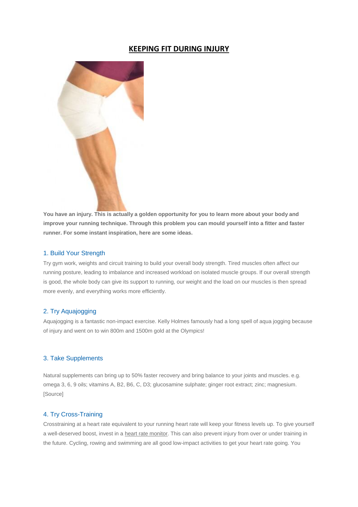# **KEEPING FIT DURING INJURY**



**You have an injury. This is actually a golden opportunity for you to learn more about your body and improve your running technique. Through this problem you can mould yourself into a fitter and faster runner. For some instant inspiration, here are some ideas.**

#### 1. Build Your Strength

Try gym work, weights and circuit training to build your overall body strength. Tired muscles often affect our running posture, leading to imbalance and increased workload on isolated muscle groups. If our overall strength is good, the whole body can give its support to running, our weight and the load on our muscles is then spread more evenly, and everything works more efficiently.

## 2. Try Aquajogging

Aquajogging is a fantastic non-impact exercise. Kelly Holmes famously had a long spell of aqua jogging because of injury and went on to win 800m and 1500m gold at the Olympics!

## 3. Take Supplements

Natural supplements can bring up to 50% faster recovery and bring balance to your joints and muscles. e.g. omega 3, 6, 9 oils; vitamins A, B2, B6, C, D3; glucosamine sulphate; ginger root extract; zinc; magnesium. [Source]

## 4. Try Cross-Training

Crosstraining at a heart rate equivalent to your running heart rate will keep your fitness levels up. To give yourself a well-deserved boost, invest in [a heart rate monitor.](http://www.runandbecome.com/Shop-Online/Accessories/Watches-and-Monitors/Heart-Rate-Monitors) This can also prevent injury from over or under training in the future. Cycling, rowing and swimming are all good low-impact activities to get your heart rate going. You